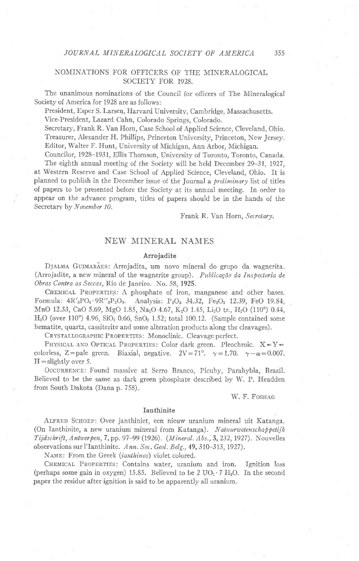## NOMINATIONS FOR OFFICERS OF THE MINERALOGICAL SOCIETY FOR 1928.

The unanimous nominations of the Council for officers of The Mineralogical Society of America for 1928 are as follows:

President, Esper S. Larsen, Harvard University, Cambridge, Massachusetts. Vice-President, Lazard Cahn, Colorado Springs, Colorado.

Secretary, Frank R. Van Horn, Case School of Applied Science, Cleveland, Ohio. Treasurer, Alexander H. Phillips, Princeton University, Princeton, New Jersey. Editor, Walter F. Hunt, University of Michigan, Ann Arbor, Michigan.

Councilor, 1928-1931, Ellis Thomson, University of Toronto, Toronto, Canada. The eighth annual meeting of the Society will be held December 29-31, 1927, at Western Reserve and Case School of Applied Science, Cleveland, Ohio. It is

planned to publish in the December issue of the Journal a *preliminary* list of titles of papers to be presented before the Society at its annual meeting. In order to appear on the advance program, titles of papers should be in the hands of the Secretary by November 10.

Frank R. Van Horn, Secretary.

## NEW MINERAL NAMES

#### Arrojadite

DJALMA GUIMARAES: Arrojadita, um novo mineral do grupo da wagnerita. (Arrojadite, a new mineral of the wagnerite group). Publicação da Inspectoria de Obras Contra as Seceas, Rio de Janeiro. No. 58, 1925.

CHEMICAL PROPERTIES: A phosphate of iron, manganese and other bases. Formula:  $4R_3'PO_4' R''_3P_2O_8$ . Analysis:  $P_2O_5$  34.32,  $Fe_2O_3$  12.39,  $FeO$  19.84, MnO 12.33, CaO 5.69, MgO 1.85, Na<sub>2</sub>O 4.67, K<sub>2</sub>O 1.45, Li<sub>2</sub>O tr., H<sub>2</sub>O (110°) 0.44,  $H<sub>2</sub>O$  (over 110°) 4.96, SiO<sub>2</sub> 0.66, SnO<sub>2</sub> 1.52; total 100.12. (Sample contained some hematite, quartz, cassiterite and some alteration products along the cleavages).

CRYSTALLOGRAPHIC PROPERTIES: Monoclinic. Cleavage perfect.

PHYSICAL AND OPTICAL PROPERTIES: Color dark green, Pleochroic.  $X = Y =$ colorless, Z=pale green. Biaxial, negative.  $2V=71^{\circ}$ .  $\gamma=1.70$ .  $\gamma-\alpha=0.007$ .  $H =$  slightly over 5.

OCCURRENCE: Found massive at Serro Branco, Picuhy, Parahybla, Brazil. Believed to be the same as dark green phosphate described by W. P. Headden from South Dakota (Dana p. 758).

W. F. FOSHAG

### Ianthinite

ALFRED SCHOEP: Over janthiniet, een nieuw uranium mineral uit Katanga. (On Ianthinite, a new uranium mineral from Katanga). Natuurwetenschappetijk Tijdschrift, Antwerpen, 7, pp. 97-99 (1926). (Mineral. Abs., 3, 232, 1927). Nouvelles observations sur l'Ianthinite. Ann. Soc. Geol. Belg., 49, 310–313, 1927).

NAME: From the Greek (ianthinos) violet colored.

CHEMICAL PROPERTIES: Contains water, uranium and iron. Ignition loss (perhaps some gain in oxygen) 15.85. Believed to be 2 UO<sub>2</sub>  $\cdot$  7 H<sub>2</sub>O. In the second paper the residue after ignition is said to be apparently all uranium.